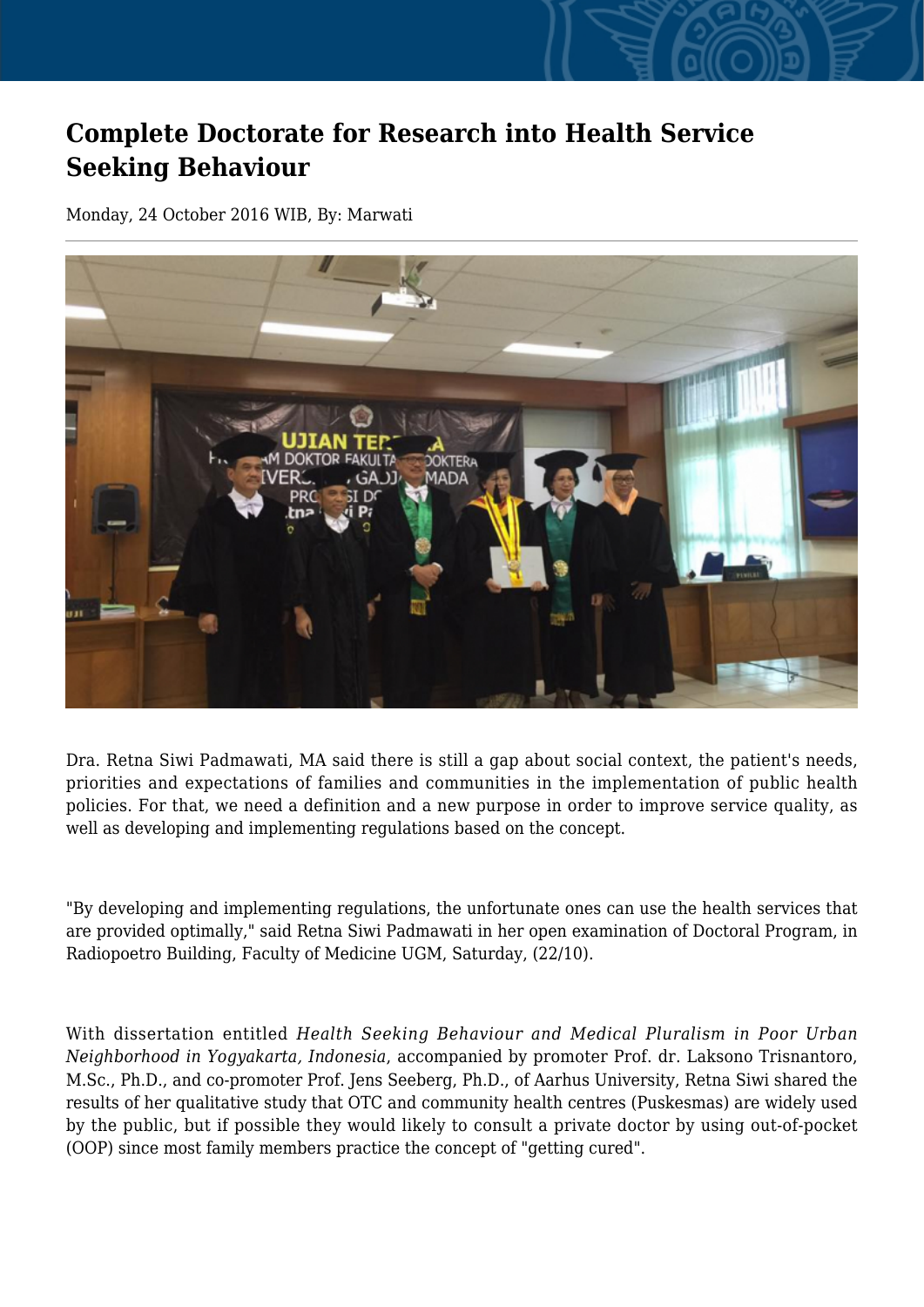## **Complete Doctorate for Research into Health Service Seeking Behaviour**

Monday, 24 October 2016 WIB, By: Marwati



Dra. Retna Siwi Padmawati, MA said there is still a gap about social context, the patient's needs, priorities and expectations of families and communities in the implementation of public health policies. For that, we need a definition and a new purpose in order to improve service quality, as well as developing and implementing regulations based on the concept.

"By developing and implementing regulations, the unfortunate ones can use the health services that are provided optimally," said Retna Siwi Padmawati in her open examination of Doctoral Program, in Radiopoetro Building, Faculty of Medicine UGM, Saturday, (22/10).

With dissertation entitled *Health Seeking Behaviour and Medical Pluralism in Poor Urban Neighborhood in Yogyakarta, Indonesia*, accompanied by promoter Prof. dr. Laksono Trisnantoro, M.Sc., Ph.D., and co-promoter Prof. Jens Seeberg, Ph.D., of Aarhus University, Retna Siwi shared the results of her qualitative study that OTC and community health centres (Puskesmas) are widely used by the public, but if possible they would likely to consult a private doctor by using out-of-pocket (OOP) since most family members practice the concept of "getting cured".